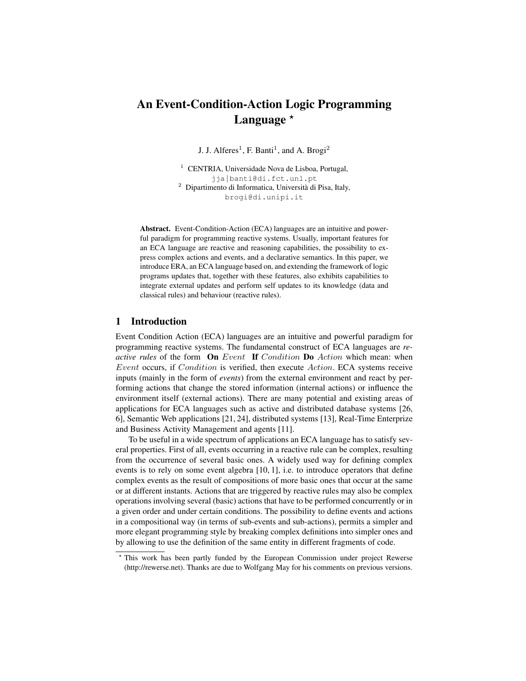# An Event-Condition-Action Logic Programming Language  $*$

J. J. Alferes<sup>1</sup>, F. Banti<sup>1</sup>, and A. Brogi<sup>2</sup>

<sup>1</sup> CENTRIA, Universidade Nova de Lisboa, Portugal, jja | banti@di.fct.unl.pt  $2$  Dipartimento di Informatica, Università di Pisa, Italy, brogi@di.unipi.it

Abstract. Event-Condition-Action (ECA) languages are an intuitive and powerful paradigm for programming reactive systems. Usually, important features for an ECA language are reactive and reasoning capabilities, the possibility to express complex actions and events, and a declarative semantics. In this paper, we introduce ERA, an ECA language based on, and extending the framework of logic programs updates that, together with these features, also exhibits capabilities to integrate external updates and perform self updates to its knowledge (data and classical rules) and behaviour (reactive rules).

# 1 Introduction

Event Condition Action (ECA) languages are an intuitive and powerful paradigm for programming reactive systems. The fundamental construct of ECA languages are *reactive rules* of the form On Event If Condition Do Action which mean: when Event occurs, if Condition is verified, then execute Action. ECA systems receive inputs (mainly in the form of *events*) from the external environment and react by performing actions that change the stored information (internal actions) or influence the environment itself (external actions). There are many potential and existing areas of applications for ECA languages such as active and distributed database systems [26, 6], Semantic Web applications [21, 24], distributed systems [13], Real-Time Enterprize and Business Activity Management and agents [11].

To be useful in a wide spectrum of applications an ECA language has to satisfy several properties. First of all, events occurring in a reactive rule can be complex, resulting from the occurrence of several basic ones. A widely used way for defining complex events is to rely on some event algebra [10, 1], i.e. to introduce operators that define complex events as the result of compositions of more basic ones that occur at the same or at different instants. Actions that are triggered by reactive rules may also be complex operations involving several (basic) actions that have to be performed concurrently or in a given order and under certain conditions. The possibility to define events and actions in a compositional way (in terms of sub-events and sub-actions), permits a simpler and more elegant programming style by breaking complex definitions into simpler ones and by allowing to use the definition of the same entity in different fragments of code.

<sup>?</sup> This work has been partly funded by the European Commission under project Rewerse (http://rewerse.net). Thanks are due to Wolfgang May for his comments on previous versions.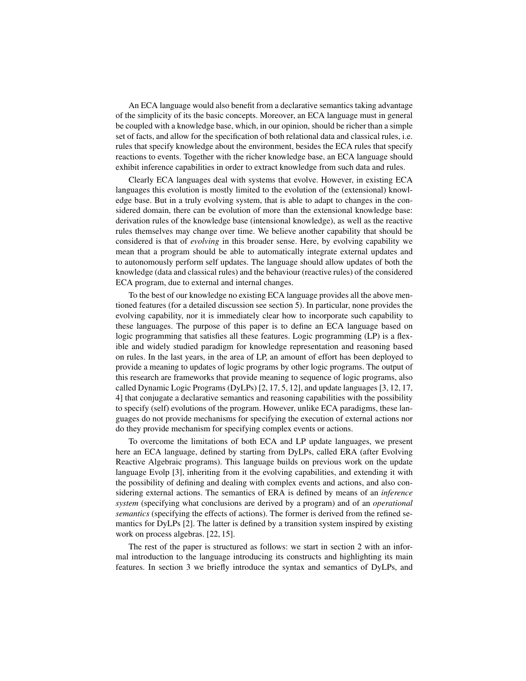An ECA language would also benefit from a declarative semantics taking advantage of the simplicity of its the basic concepts. Moreover, an ECA language must in general be coupled with a knowledge base, which, in our opinion, should be richer than a simple set of facts, and allow for the specification of both relational data and classical rules, i.e. rules that specify knowledge about the environment, besides the ECA rules that specify reactions to events. Together with the richer knowledge base, an ECA language should exhibit inference capabilities in order to extract knowledge from such data and rules.

Clearly ECA languages deal with systems that evolve. However, in existing ECA languages this evolution is mostly limited to the evolution of the (extensional) knowledge base. But in a truly evolving system, that is able to adapt to changes in the considered domain, there can be evolution of more than the extensional knowledge base: derivation rules of the knowledge base (intensional knowledge), as well as the reactive rules themselves may change over time. We believe another capability that should be considered is that of *evolving* in this broader sense. Here, by evolving capability we mean that a program should be able to automatically integrate external updates and to autonomously perform self updates. The language should allow updates of both the knowledge (data and classical rules) and the behaviour (reactive rules) of the considered ECA program, due to external and internal changes.

To the best of our knowledge no existing ECA language provides all the above mentioned features (for a detailed discussion see section 5). In particular, none provides the evolving capability, nor it is immediately clear how to incorporate such capability to these languages. The purpose of this paper is to define an ECA language based on logic programming that satisfies all these features. Logic programming (LP) is a flexible and widely studied paradigm for knowledge representation and reasoning based on rules. In the last years, in the area of LP, an amount of effort has been deployed to provide a meaning to updates of logic programs by other logic programs. The output of this research are frameworks that provide meaning to sequence of logic programs, also called Dynamic Logic Programs (DyLPs) [2, 17, 5, 12], and update languages [3, 12, 17, 4] that conjugate a declarative semantics and reasoning capabilities with the possibility to specify (self) evolutions of the program. However, unlike ECA paradigms, these languages do not provide mechanisms for specifying the execution of external actions nor do they provide mechanism for specifying complex events or actions.

To overcome the limitations of both ECA and LP update languages, we present here an ECA language, defined by starting from DyLPs, called ERA (after Evolving Reactive Algebraic programs). This language builds on previous work on the update language Evolp [3], inheriting from it the evolving capabilities, and extending it with the possibility of defining and dealing with complex events and actions, and also considering external actions. The semantics of ERA is defined by means of an *inference system* (specifying what conclusions are derived by a program) and of an *operational semantics* (specifying the effects of actions). The former is derived from the refined semantics for DyLPs [2]. The latter is defined by a transition system inspired by existing work on process algebras. [22, 15].

The rest of the paper is structured as follows: we start in section 2 with an informal introduction to the language introducing its constructs and highlighting its main features. In section 3 we briefly introduce the syntax and semantics of DyLPs, and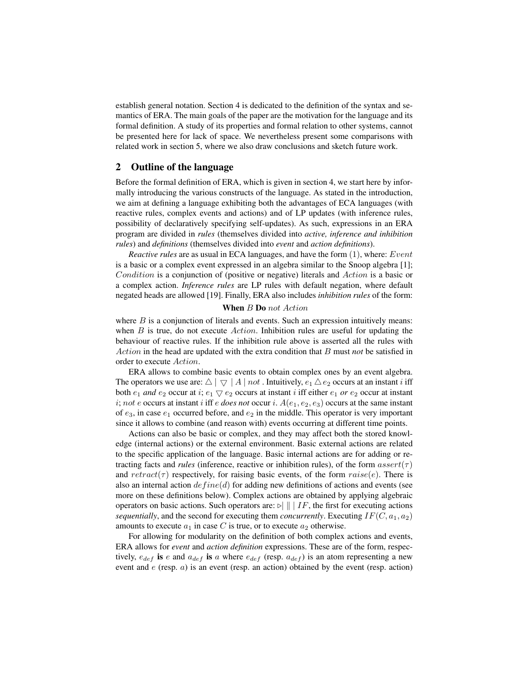establish general notation. Section 4 is dedicated to the definition of the syntax and semantics of ERA. The main goals of the paper are the motivation for the language and its formal definition. A study of its properties and formal relation to other systems, cannot be presented here for lack of space. We nevertheless present some comparisons with related work in section 5, where we also draw conclusions and sketch future work.

#### 2 Outline of the language

Before the formal definition of ERA, which is given in section 4, we start here by informally introducing the various constructs of the language. As stated in the introduction, we aim at defining a language exhibiting both the advantages of ECA languages (with reactive rules, complex events and actions) and of LP updates (with inference rules, possibility of declaratively specifying self-updates). As such, expressions in an ERA program are divided in *rules* (themselves divided into *active, inference and inhibition rules*) and *definitions* (themselves divided into *event* and *action definitions*).

*Reactive rules* are as usual in ECA languages, and have the form (1), where: *Event* is a basic or a complex event expressed in an algebra similar to the Snoop algebra [1]; Condition is a conjunction of (positive or negative) literals and Action is a basic or a complex action. *Inference rules* are LP rules with default negation, where default negated heads are allowed [19]. Finally, ERA also includes *inhibition rules* of the form:

#### When B Do not Action

where  $B$  is a conjunction of literals and events. Such an expression intuitively means: when  $B$  is true, do not execute  $Action$ . Inhibition rules are useful for updating the behaviour of reactive rules. If the inhibition rule above is asserted all the rules with Action in the head are updated with the extra condition that B must *not* be satisfied in order to execute Action.

ERA allows to combine basic events to obtain complex ones by an event algebra. The operators we use are:  $\triangle \mid \nabla \mid A \mid not$ . Intuitively,  $e_1 \triangle e_2$  occurs at an instant *i* iff both  $e_1$  *and*  $e_2$  occur at i;  $e_1 \nabla e_2$  occurs at instant i iff either  $e_1$  *or*  $e_2$  occur at instant i; not e occurs at instant i iff e *does not* occur i.  $A(e_1, e_2, e_3)$  occurs at the same instant of  $e_3$ , in case  $e_1$  occurred before, and  $e_2$  in the middle. This operator is very important since it allows to combine (and reason with) events occurring at different time points.

Actions can also be basic or complex, and they may affect both the stored knowledge (internal actions) or the external environment. Basic external actions are related to the specific application of the language. Basic internal actions are for adding or retracting facts and *rules* (inference, reactive or inhibition rules), of the form  $assert(\tau)$ and  $retract(\tau)$  respectively, for raising basic events, of the form  $raise(e)$ . There is also an internal action  $define(d)$  for adding new definitions of actions and events (see more on these definitions below). Complex actions are obtained by applying algebraic operators on basic actions. Such operators are:  $\triangleright$  || | IF, the first for executing actions *sequentially*, and the second for executing them *concurrently*. Executing  $IF(C, a_1, a_2)$ amounts to execute  $a_1$  in case C is true, or to execute  $a_2$  otherwise.

For allowing for modularity on the definition of both complex actions and events, ERA allows for *event* and *action definition* expressions. These are of the form, respectively,  $e_{def}$  is e and  $a_{def}$  is a where  $e_{def}$  (resp.  $a_{def}$ ) is an atom representing a new event and  $e$  (resp.  $a$ ) is an event (resp. an action) obtained by the event (resp. action)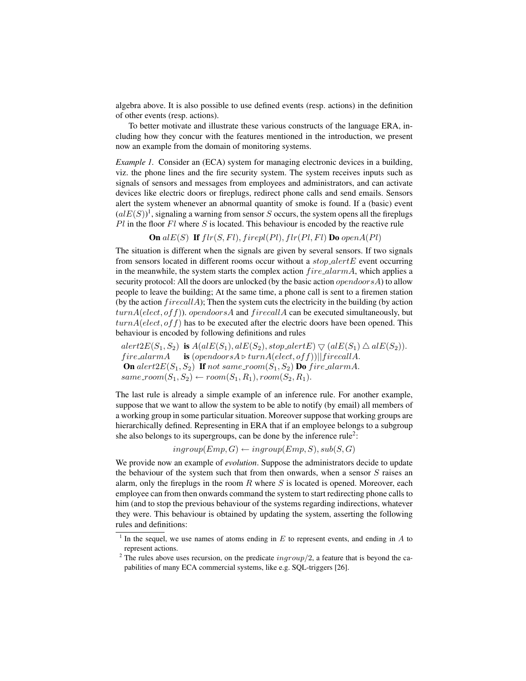algebra above. It is also possible to use defined events (resp. actions) in the definition of other events (resp. actions).

To better motivate and illustrate these various constructs of the language ERA, including how they concur with the features mentioned in the introduction, we present now an example from the domain of monitoring systems.

*Example 1.* Consider an (ECA) system for managing electronic devices in a building, viz. the phone lines and the fire security system. The system receives inputs such as signals of sensors and messages from employees and administrators, and can activate devices like electric doors or fireplugs, redirect phone calls and send emails. Sensors alert the system whenever an abnormal quantity of smoke is found. If a (basic) event  $(alE(S))<sup>1</sup>$ , signaling a warning from sensor S occurs, the system opens all the fireplugs  $Pl$  in the floor  $Fl$  where  $S$  is located. This behaviour is encoded by the reactive rule

**On**  $alE(S)$  **If**  $flr(S, Fl)$ ,  $firepl(Pl)$ ,  $flr(Pl, Fl)$  **Do**  $openA(Pl)$ 

The situation is different when the signals are given by several sensors. If two signals from sensors located in different rooms occur without a *stop\_alertE* event occurring in the meanwhile, the system starts the complex action  $fire\_alarmA$ , which applies a security protocol: All the doors are unlocked (by the basic action *opendoorsA*) to allow people to leave the building; At the same time, a phone call is sent to a firemen station (by the action  $f{\text{i}}r\text{e}callA$ ); Then the system cuts the electricity in the building (by action  $turnA(elect, off)$ ). opendoorsA and firecallA can be executed simultaneously, but  $turnA(elect, off)$  has to be executed after the electric doors have been opened. This behaviour is encoded by following definitions and rules

 $alert2E(S_1, S_2)$  is  $A(alE(S_1), alE(S_2), stop\_alertE) \bigtriangledown (alE(S_1) \bigtriangleup alE(S_2)).$ fire\_alarmA is  $(open doorsA \triangleright turnA(elect, of f))$ ||firecallA. **On** alert  $2E(S_1, S_2)$  **If** not same\_room( $S_1, S_2$ ) **Do** fire\_alarmA.  $same\_room(S_1, S_2) \leftarrow room(S_1, R_1), room(S_2, R_1).$ 

The last rule is already a simple example of an inference rule. For another example, suppose that we want to allow the system to be able to notify (by email) all members of a working group in some particular situation. Moreover suppose that working groups are hierarchically defined. Representing in ERA that if an employee belongs to a subgroup she also belongs to its supergroups, can be done by the inference rule<sup>2</sup>:

 $ingroup(Emp, G) \leftarrow ingroup(Emp, S), sub(S, G)$ 

We provide now an example of *evolution*. Suppose the administrators decide to update the behaviour of the system such that from then onwards, when a sensor  $S$  raises an alarm, only the fireplugs in the room  $R$  where  $S$  is located is opened. Moreover, each employee can from then onwards command the system to start redirecting phone calls to him (and to stop the previous behaviour of the systems regarding indirections, whatever they were. This behaviour is obtained by updating the system, asserting the following rules and definitions:

<sup>&</sup>lt;sup>1</sup> In the sequel, we use names of atoms ending in  $E$  to represent events, and ending in  $A$  to represent actions.

<sup>&</sup>lt;sup>2</sup> The rules above uses recursion, on the predicate  $ingroup/2$ , a feature that is beyond the capabilities of many ECA commercial systems, like e.g. SQL-triggers [26].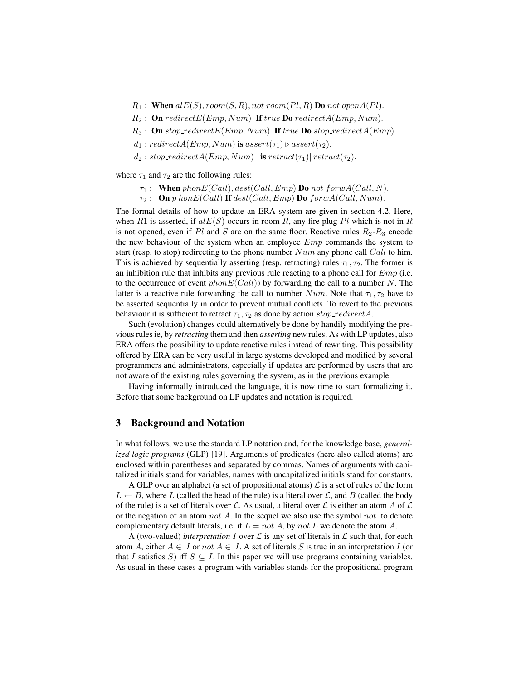- $R_1$ : When  $alE(S)$ , room $(S, R)$ , not room $(Pl, R)$  Do not open $A(Pl)$ .
- $R_2$ : **On** redirect $E(Emp, Num)$  **If** true **Do** redirect $A(Emp, Num)$ .
- $R_3$ : On stop\_redirectE(Emp, Num) If true Do stop\_redirectA(Emp).
- $d_1: redirect A(Emp, Num)$  is  $assert(\tau_1) \triangleright assert(\tau_2)$ .
- $d_2$ : stop\_redirectA(Emp, Num) is retract( $\tau_1$ )||retract( $\tau_2$ ).

where  $\tau_1$  and  $\tau_2$  are the following rules:

- $\tau_1$ : When  $phonE(Call)$ ,  $dest(Call, Emp)$  Do not forw $A(Call, N)$ .
- $\tau_2$ : **On** p honE(Call) If dest(Call, Emp) **Do** forwA(Call, Num).

The formal details of how to update an ERA system are given in section 4.2. Here, when R1 is asserted, if  $a \, E(S)$  occurs in room R, any fire plug Pl which is not in R is not opened, even if Pl and S are on the same floor. Reactive rules  $R_2-R_3$  encode the new behaviour of the system when an employee  $Emp$  commands the system to start (resp. to stop) redirecting to the phone number  $Num$  any phone call  $Call$  to him. This is achieved by sequentially asserting (resp. retracting) rules  $\tau_1$ ,  $\tau_2$ . The former is an inhibition rule that inhibits any previous rule reacting to a phone call for  $Emp$  (i.e. to the occurrence of event  $phonE(Call)$ ) by forwarding the call to a number N. The latter is a reactive rule forwarding the call to number  $Num$ . Note that  $\tau_1, \tau_2$  have to be asserted sequentially in order to prevent mutual conflicts. To revert to the previous behaviour it is sufficient to retract  $\tau_1$ ,  $\tau_2$  as done by action stop\_redirectA.

Such (evolution) changes could alternatively be done by handily modifying the previous rules ie, by *retracting* them and then *asserting* new rules. As with LP updates, also ERA offers the possibility to update reactive rules instead of rewriting. This possibility offered by ERA can be very useful in large systems developed and modified by several programmers and administrators, especially if updates are performed by users that are not aware of the existing rules governing the system, as in the previous example.

Having informally introduced the language, it is now time to start formalizing it. Before that some background on LP updates and notation is required.

### 3 Background and Notation

In what follows, we use the standard LP notation and, for the knowledge base, *generalized logic programs* (GLP) [19]. Arguments of predicates (here also called atoms) are enclosed within parentheses and separated by commas. Names of arguments with capitalized initials stand for variables, names with uncapitalized initials stand for constants.

A GLP over an alphabet (a set of propositional atoms)  $\mathcal L$  is a set of rules of the form  $L \leftarrow B$ , where L (called the head of the rule) is a literal over L, and B (called the body of the rule) is a set of literals over L. As usual, a literal over L is either an atom A of L or the negation of an atom  $not A$ . In the sequel we also use the symbol  $not$  to denote complementary default literals, i.e. if  $L = not A$ , by not L we denote the atom A.

A (two-valued) *interpretation* I over  $\mathcal L$  is any set of literals in  $\mathcal L$  such that, for each atom A, either  $A \in I$  or not  $A \in I$ . A set of literals S is true in an interpretation I (or that I satisfies S) iff  $S \subseteq I$ . In this paper we will use programs containing variables. As usual in these cases a program with variables stands for the propositional program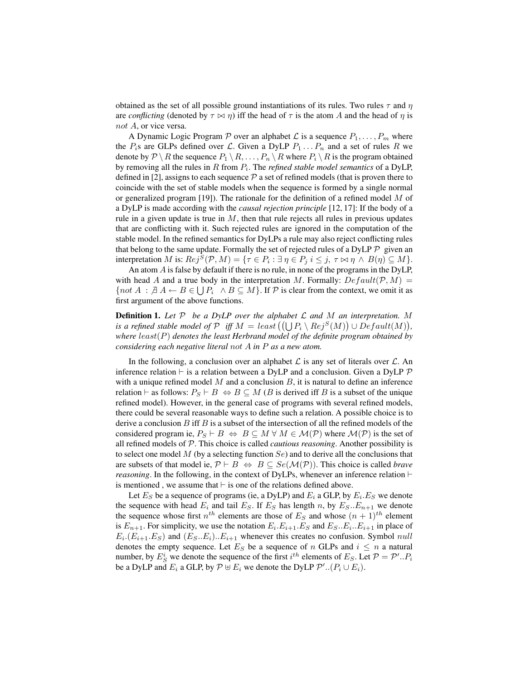obtained as the set of all possible ground instantiations of its rules. Two rules  $\tau$  and  $\eta$ are *conflicting* (denoted by  $\tau \bowtie \eta$ ) iff the head of  $\tau$  is the atom A and the head of  $\eta$  is not A, or vice versa.

A Dynamic Logic Program  $P$  over an alphabet  $\mathcal L$  is a sequence  $P_1, \ldots, P_m$  where the  $P_i$ s are GLPs defined over  $\mathcal{L}$ . Given a DyLP  $P_1 \dots P_n$  and a set of rules R we denote by  $\mathcal{P} \setminus R$  the sequence  $P_1 \setminus R, \ldots, P_n \setminus R$  where  $P_i \setminus R$  is the program obtained by removing all the rules in  $R$  from  $P_i$ . The *refined stable model semantics* of a DyLP, defined in [2], assigns to each sequence  $P$  a set of refined models (that is proven there to coincide with the set of stable models when the sequence is formed by a single normal or generalized program [19]). The rationale for the definition of a refined model  $M$  of a DyLP is made according with the *causal rejection principle* [12, 17]: If the body of a rule in a given update is true in  $M$ , then that rule rejects all rules in previous updates that are conflicting with it. Such rejected rules are ignored in the computation of the stable model. In the refined semantics for DyLPs a rule may also reject conflicting rules that belong to the same update. Formally the set of rejected rules of a DyLP  $\mathcal P$  given an interpretation M is:  $Rej^S(\mathcal{P}, M) = \{ \tau \in P_i : \exists \eta \in P_j \ i \leq j, \ \tau \bowtie \eta \land B(\eta) \subseteq M \}.$ 

An atom A is false by default if there is no rule, in none of the programs in the DyLP, with head A and a true body in the interpretation M. Formally:  $Default(\mathcal{P}, M) =$  $\{ not A : \overline{A}A \leftarrow B \in \bigcup P_i \land B \subseteq M \}.$  If  $P$  is clear from the context, we omit it as first argument of the above functions.

**Definition 1.** Let  $P$  be a DyLP over the alphabet  $C$  and  $M$  an interpretation. M *is a refined stable model of*  $P$  *iff*  $M = least \left( (\bigcup P_i \setminus Rej^S(M)) \cup Default(M) \right)$ , *where* least(P) *denotes the least Herbrand model of the definite program obtained by considering each negative literal* not A *in* P *as a new atom.*

In the following, a conclusion over an alphabet  $\mathcal L$  is any set of literals over  $\mathcal L$ . An inference relation  $\vdash$  is a relation between a DyLP and a conclusion. Given a DyLP  $P$ with a unique refined model  $M$  and a conclusion  $B$ , it is natural to define an inference relation  $\vdash$  as follows:  $P_S \vdash B \Leftrightarrow B \subseteq M$  (B is derived iff B is a subset of the unique refined model). However, in the general case of programs with several refined models, there could be several reasonable ways to define such a relation. A possible choice is to derive a conclusion B iff B is a subset of the intersection of all the refined models of the considered program ie,  $P_S \vdash B \Leftrightarrow B \subseteq M \ \forall \ M \in \mathcal{M}(\mathcal{P})$  where  $\mathcal{M}(\mathcal{P})$  is the set of all refined models of P. This choice is called *cautious reasoning*. Another possibility is to select one model M (by a selecting function  $Se$ ) and to derive all the conclusions that are subsets of that model ie,  $\mathcal{P} \vdash B \Leftrightarrow B \subseteq Se(\mathcal{M}(\mathcal{P}))$ . This choice is called *brave reasoning*. In the following, in the context of DyLPs, whenever an inference relation  $\vdash$ is mentioned, we assume that  $\vdash$  is one of the relations defined above.

Let  $E_S$  be a sequence of programs (ie, a DyLP) and  $E_i$  a GLP, by  $E_i.E_S$  we denote the sequence with head  $E_i$  and tail  $E_S$ . If  $E_S$  has length n, by  $E_S.E_{n+1}$  we denote the sequence whose first  $n^{th}$  elements are those of  $E_S$  and whose  $(n + 1)^{th}$  element is  $E_{n+1}$ . For simplicity, we use the notation  $E_i.E_{i+1}.E_S$  and  $E_S.E_i..E_{i+1}$  in place of  $E_i$ .  $(E_{i+1}$ .  $E_S)$  and  $(E_S$ .  $E_i)$ .  $E_{i+1}$  whenever this creates no confusion. Symbol null denotes the empty sequence. Let  $E<sub>S</sub>$  be a sequence of n GLPs and  $i \leq n$  a natural number, by  $E_S^i$  we denote the sequence of the first  $i^{th}$  elements of  $E_S$ . Let  $\mathcal{P} = \mathcal{P}'$ ... $P_i$ be a DyLP and  $E_i$  a GLP, by  $\mathcal{P} \oplus E_i$  we denote the DyLP  $\mathcal{P}' \dots (P_i \cup E_i)$ .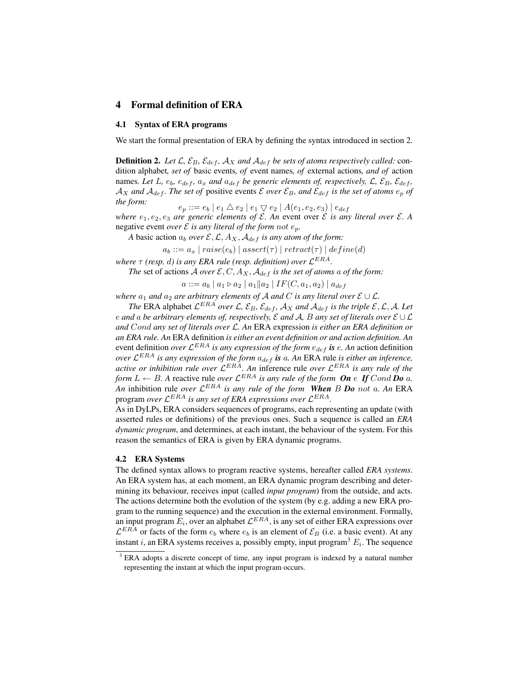## 4 Formal definition of ERA

#### 4.1 Syntax of ERA programs

We start the formal presentation of ERA by defining the syntax introduced in section 2.

**Definition 2.** Let  $\mathcal{L}, \mathcal{E}_B, \mathcal{E}_{def}, \mathcal{A}_X$  and  $\mathcal{A}_{def}$  be sets of atoms respectively called: condition alphabet*, set of* basic events*, of* event names*, of* external actions*, and of* action names. Let L,  $e_b$ ,  $e_{def}$ ,  $a_x$  and  $a_{def}$  be generic elements of, respectively, L,  $\mathcal{E}_B$ ,  $\mathcal{E}_{def}$ ,  $A_X$  *and*  $A_{def}$ *. The set of positive events*  $\mathcal E$  *over*  $\mathcal E_B$ *, and*  $\mathcal E_{def}$  *is the set of atoms*  $e_p$  *of the form:*

 $e_p ::= e_b | e_1 \bigtriangleup e_2 | e_1 \bigtriangledown e_2 | A(e_1, e_2, e_3) | e_{def}$ *where*  $e_1, e_2, e_3$  *are* generic elements of  $\mathcal{E}$ . An event over  $\mathcal{E}$  *is any literal over*  $\mathcal{E}$ . A negative event *over*  $\mathcal E$  *is any literal of the form not*  $e_p$ *.* 

*A* basic action  $a_b$  *over*  $\mathcal{E}, \mathcal{L}, A_X, \mathcal{A}_{def}$  *is any atom of the form:* 

 $a_b ::= a_x | raise(e_b) | assert(\tau) | retract(\tau) | define(d)$ 

*where* τ *(resp.* d*) is any ERA rule (resp. definition) over* L ERA*.*

*The* set of actions A *over*  $\mathcal{E}$ ,  $C$ ,  $A_X$ ,  $A_{def}$  *is the set of atoms a of the form:* 

 $a ::= a_b | a_1 \triangleright a_2 | a_1 || a_2 | IF(C, a_1, a_2) | a_{def}$ 

*where*  $a_1$  *and*  $a_2$  *are arbitrary elements of* A *and* C *is any literal over*  $\mathcal{E} \cup \mathcal{L}$ *.* 

*The* ERA alphabet  $\mathcal{L}^{ERA}$  over  $\mathcal{L}$ ,  $\mathcal{E}_B$ ,  $\mathcal{E}_{def}$ ,  $\mathcal{A}_X$  and  $\mathcal{A}_{def}$  is the triple  $\mathcal{E}$ ,  $\mathcal{L}$ ,  $\mathcal{A}$ . Let e *and* a *be arbitrary elements of, respectively,* E *and* A*,* B *any set of literals over* E ∪ L *and* Cond *any set of literals over* L*. An* ERA expression *is either an ERA definition or an ERA rule. An* ERA definition *is either an event definition or and action definition. An* event definition *over*  $\mathcal{L}^{ERA}$  *is any expression of the form*  $e_{def}$  *is*  $e$ *. An action definition over*  $\mathcal{L}^{ERA}$  *is any expression of the form*  $a_{def}$  *is*  $a$ . An ERA rule *is either an inference*, *active or inhibition rule over* L ERA*. An* inference rule *over* L ERA *is any rule of the form*  $L \leftarrow B$ . A reactive rule *over*  $\mathcal{L}^{ERA}$  *is any rule of the form*  $\boldsymbol{On}$  *e* If  $Cond$  *Do a*. *An* inhibition rule *over* L ERA *is any rule of the form When* B *Do* not a*. An* ERA program *over* L ERA *is any set of ERA expressions over* L ERA*.*

As in DyLPs, ERA considers sequences of programs, each representing an update (with asserted rules or definitions) of the previous ones. Such a sequence is called an *ERA dynamic program*, and determines, at each instant, the behaviour of the system. For this reason the semantics of ERA is given by ERA dynamic programs.

#### 4.2 ERA Systems

The defined syntax allows to program reactive systems, hereafter called *ERA systems*. An ERA system has, at each moment, an ERA dynamic program describing and determining its behaviour, receives input (called *input program*) from the outside, and acts. The actions determine both the evolution of the system (by e.g. adding a new ERA program to the running sequence) and the execution in the external environment. Formally, an input program  $E_i$ , over an alphabet  $\mathcal{L}^{ERA},$  is any set of either ERA expressions over  $\mathcal{L}^{ERA}$  or facts of the form  $e_b$  where  $e_b$  is an element of  $\mathcal{E}_B$  (i.e. a basic event). At any instant *i*, an ERA systems receives a, possibly empty, input program<sup>3</sup>  $E_i$ . The sequence

<sup>&</sup>lt;sup>3</sup> ERA adopts a discrete concept of time, any input program is indexed by a natural number representing the instant at which the input program occurs.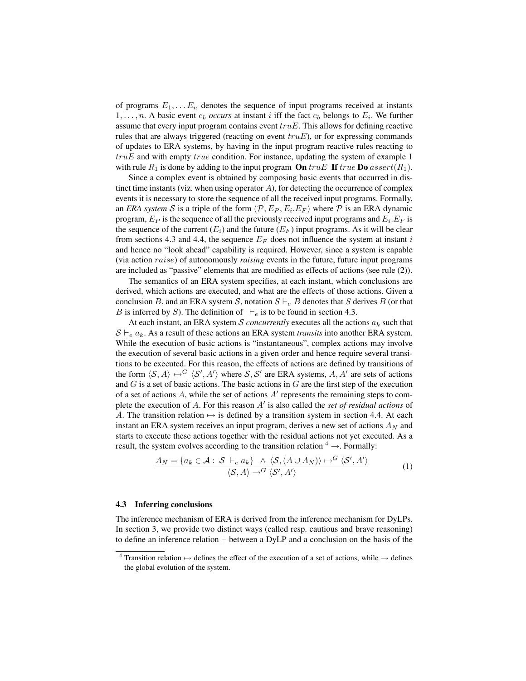of programs  $E_1, \ldots E_n$  denotes the sequence of input programs received at instants  $1, \ldots, n$ . A basic event  $e_b$  *occurs* at instant i iff the fact  $e_b$  belongs to  $E_i$ . We further assume that every input program contains event  $true$ . This allows for defining reactive rules that are always triggered (reacting on event  $true$ ), or for expressing commands of updates to ERA systems, by having in the input program reactive rules reacting to  $true$  and with empty  $true$  condition. For instance, updating the system of example 1 with rule  $R_1$  is done by adding to the input program **On** truE **If** true **Do** assert $(R_1)$ .

Since a complex event is obtained by composing basic events that occurred in distinct time instants (viz. when using operator  $A$ ), for detecting the occurrence of complex events it is necessary to store the sequence of all the received input programs. Formally, an *ERA system* S is a triple of the form  $(\mathcal{P}, E_P, E_i, E_F)$  where  $\mathcal P$  is an ERA dynamic program,  $E_P$  is the sequence of all the previously received input programs and  $E_i.E_F$  is the sequence of the current  $(E_i)$  and the future  $(E_F)$  input programs. As it will be clear from sections 4.3 and 4.4, the sequence  $E_F$  does not influence the system at instant i and hence no "look ahead" capability is required. However, since a system is capable (via action raise) of autonomously *raising* events in the future, future input programs are included as "passive" elements that are modified as effects of actions (see rule (2)).

The semantics of an ERA system specifies, at each instant, which conclusions are derived, which actions are executed, and what are the effects of those actions. Given a conclusion B, and an ERA system S, notation  $S \vdash_e B$  denotes that S derives B (or that B is inferred by S). The definition of  $\vdash_e$  is to be found in section 4.3.

At each instant, an ERA system  $S$  *concurrently* executes all the actions  $a_k$  such that  $S \vdash_e a_k$ . As a result of these actions an ERA system *transits* into another ERA system. While the execution of basic actions is "instantaneous", complex actions may involve the execution of several basic actions in a given order and hence require several transitions to be executed. For this reason, the effects of actions are defined by transitions of the form  $\langle S, A \rangle \mapsto^G \langle S', A' \rangle$  where  $S, S'$  are ERA systems, A, A' are sets of actions and  $G$  is a set of basic actions. The basic actions in  $G$  are the first step of the execution of a set of actions  $A$ , while the set of actions  $A'$  represents the remaining steps to complete the execution of  $A$ . For this reason  $A'$  is also called the *set of residual actions* of A. The transition relation  $\mapsto$  is defined by a transition system in section 4.4. At each instant an ERA system receives an input program, derives a new set of actions  $A_N$  and starts to execute these actions together with the residual actions not yet executed. As a result, the system evolves according to the transition relation  $4 \rightarrow$ . Formally:

$$
\frac{A_N = \{a_k \in \mathcal{A} : \mathcal{S} \vdash_e a_k\} \land \langle \mathcal{S}, (A \cup A_N) \rangle \mapsto^G \langle \mathcal{S}', A' \rangle}{\langle \mathcal{S}, A \rangle \to^G \langle \mathcal{S}', A' \rangle} \tag{1}
$$

#### 4.3 Inferring conclusions

The inference mechanism of ERA is derived from the inference mechanism for DyLPs. In section 3, we provide two distinct ways (called resp. cautious and brave reasoning) to define an inference relation  $\vdash$  between a DyLP and a conclusion on the basis of the

<sup>&</sup>lt;sup>4</sup> Transition relation  $\mapsto$  defines the effect of the execution of a set of actions, while  $\rightarrow$  defines the global evolution of the system.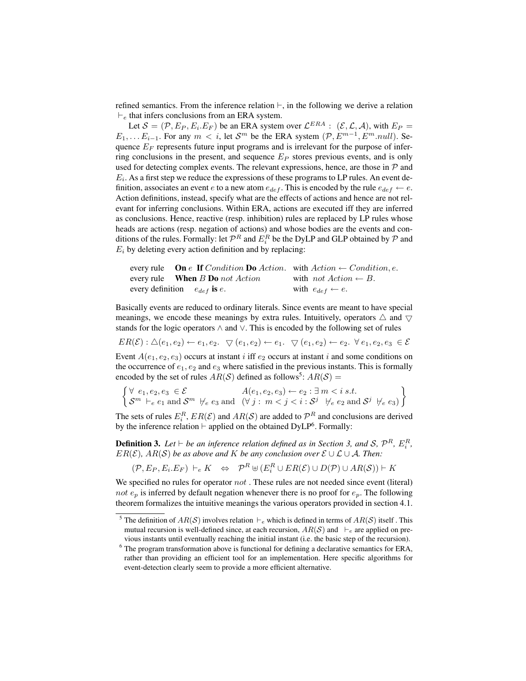refined semantics. From the inference relation  $\vdash$ , in the following we derive a relation  $\vdash_e$  that infers conclusions from an ERA system.

Let  $S = (\mathcal{P}, E_P, E_i, E_F)$  be an ERA system over  $\mathcal{L}^{ERA}$  :  $(\mathcal{E}, \mathcal{L}, \mathcal{A})$ , with  $E_P =$  $E_1, \ldots E_{i-1}$ . For any  $m < i$ , let  $S^m$  be the ERA system  $(\mathcal{P}, E^{m-1}, E^m \text{.} null)$ . Sequence  $E_F$  represents future input programs and is irrelevant for the purpose of inferring conclusions in the present, and sequence  $E<sub>P</sub>$  stores previous events, and is only used for detecting complex events. The relevant expressions, hence, are those in  $\mathcal P$  and  $E_i$ . As a first step we reduce the expressions of these programs to LP rules. An event definition, associates an event e to a new atom  $e_{def}$ . This is encoded by the rule  $e_{def} \leftarrow e$ . Action definitions, instead, specify what are the effects of actions and hence are not relevant for inferring conclusions. Within ERA, actions are executed iff they are inferred as conclusions. Hence, reactive (resp. inhibition) rules are replaced by LP rules whose heads are actions (resp. negation of actions) and whose bodies are the events and conditions of the rules. Formally: let  $\mathcal{P}^R$  and  $E_i^R$  be the DyLP and GLP obtained by  $\mathcal P$  and  $E_i$  by deleting every action definition and by replacing:

|                                  |                                                 | every rule <b>On</b> e If Condition <b>Do</b> Action. with Action $\leftarrow$ Condition, e. |
|----------------------------------|-------------------------------------------------|----------------------------------------------------------------------------------------------|
|                                  | every rule <b>When</b> $B$ <b>Do</b> not Action | with not $Action \leftarrow B$ .                                                             |
| every definition $e_{def}$ is e. |                                                 | with $e_{def} \leftarrow e$ .                                                                |

Basically events are reduced to ordinary literals. Since events are meant to have special meanings, we encode these meanings by extra rules. Intuitively, operators  $\triangle$  and  $\triangledown$ stands for the logic operators ∧ and ∨. This is encoded by the following set of rules

 $ER(\mathcal{E}): \Delta(e_1, e_2) \leftarrow e_1, e_2. \quad \nabla(e_1, e_2) \leftarrow e_1. \quad \nabla(e_1, e_2) \leftarrow e_2. \quad \forall e_1, e_2, e_3 \in \mathcal{E}$ 

Event  $A(e_1, e_2, e_3)$  occurs at instant i iff  $e_2$  occurs at instant i and some conditions on the occurrence of  $e_1, e_2$  and  $e_3$  where satisfied in the previous instants. This is formally encoded by the set of rules  $AR(S)$  defined as follows<sup>5</sup>:  $AR(S)$  =

$$
\left\{\n\begin{array}{l}\n\forall e_1, e_2, e_3 \in \mathcal{E} \\
\mathcal{S}^m \vdash_e e_1 \text{ and } \mathcal{S}^m \not\models_e e_3 \text{ and } (\forall j : m < j < i : \mathcal{S}^j \not\models_e e_2 \text{ and } \mathcal{S}^j \not\models_e e_3)\n\end{array}\n\right\}
$$

The sets of rules  $E_i^R$ ,  $ER(\mathcal{E})$  and  $AR(\mathcal{S})$  are added to  $\mathcal{P}^R$  and conclusions are derived by the inference relation  $\vdash$  applied on the obtained  $\text{DyLP}^6$ . Formally:

**Definition 3.** Let  $\vdash$  be an inference relation defined as in Section 3, and S,  $\mathcal{P}^R$ ,  $E_i^R$ ,  $ER(\mathcal{E})$ *, AR(S) be as above and K be any conclusion over*  $\mathcal{E} \cup \mathcal{L} \cup \mathcal{A}$ *. Then:* 

 $(\mathcal{P}, E_P, E_i, E_F) \vdash_e K \Leftrightarrow \mathcal{P}^R \uplus (E_i^R \cup ER(\mathcal{E}) \cup D(\mathcal{P}) \cup AR(\mathcal{S})) \vdash K$ 

We specified no rules for operator not. These rules are not needed since event (literal) not  $e_n$  is inferred by default negation whenever there is no proof for  $e_n$ . The following theorem formalizes the intuitive meanings the various operators provided in section 4.1.

<sup>&</sup>lt;sup>5</sup> The definition of  $AR(S)$  involves relation  $\vdash_e$  which is defined in terms of  $AR(S)$  itself. This mutual recursion is well-defined since, at each recursion,  $AR(S)$  and  $\vdash_e$  are applied on previous instants until eventually reaching the initial instant (i.e. the basic step of the recursion).

 $6$  The program transformation above is functional for defining a declarative semantics for ERA, rather than providing an efficient tool for an implementation. Here specific algorithms for event-detection clearly seem to provide a more efficient alternative.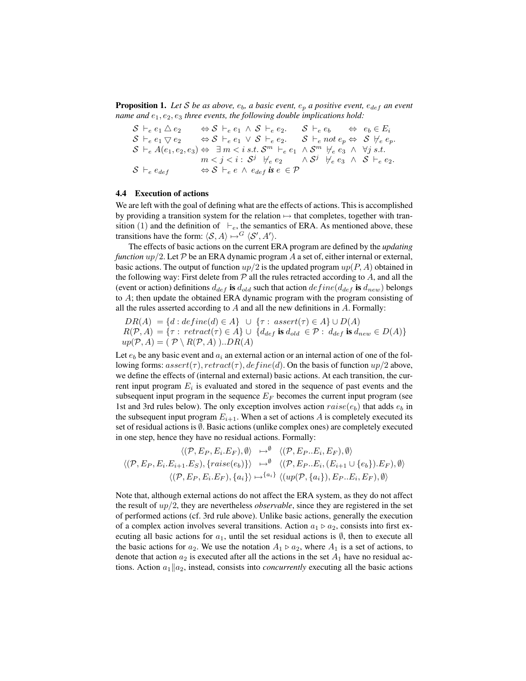**Proposition 1.** Let S be as above,  $e_b$ , a basic event,  $e_p$  a positive event,  $e_{def}$  an event *name and*  $e_1, e_2, e_3$  *three events, the following double implications hold:* 

$$
S \vdash_e e_1 \triangle e_2 \qquad \Leftrightarrow S \vdash_e e_1 \wedge S \vdash_e e_2. \qquad S \vdash_e e_b \qquad \Leftrightarrow \quad e_b \in E_i
$$
  
\n
$$
S \vdash_e e_1 \nabla e_2 \qquad \Leftrightarrow S \vdash_e e_1 \vee S \vdash_e e_2. \qquad S \vdash_e not \quad e_p \Leftrightarrow \quad S \not\vdash_e e_p.
$$
  
\n
$$
S \vdash_e A(e_1, e_2, e_3) \Leftrightarrow \exists m < i \text{ s.t. } S^m \vdash_e e_1 \wedge S^m \nvdash_e e_3 \wedge \forall j \text{ s.t.}
$$
  
\n
$$
m < j < i : S^j \nvdash_e e_2 \qquad \wedge S^j \nvdash_e e_3 \wedge S \vdash_e e_2.
$$
  
\n
$$
S \vdash_e e_{def} \qquad \Leftrightarrow S \vdash_e e \wedge e_{def} \text{ is } e \in \mathcal{P}
$$

### 4.4 Execution of actions

We are left with the goal of defining what are the effects of actions. This is accomplished by providing a transition system for the relation  $\mapsto$  that completes, together with transition (1) and the definition of  $\vdash_e$ , the semantics of ERA. As mentioned above, these transitions have the form:  $\langle S, A \rangle \mapsto^{G} \langle S', A' \rangle$ .

The effects of basic actions on the current ERA program are defined by the *updating function*  $up/2$ . Let P be an ERA dynamic program A a set of, either internal or external, basic actions. The output of function  $up/2$  is the updated program  $up(P, A)$  obtained in the following way: First delete from  $\mathcal P$  all the rules retracted according to A, and all the (event or action) definitions  $d_{def}$  is  $d_{old}$  such that action  $define(d_{def}$  is  $d_{new})$  belongs to A; then update the obtained ERA dynamic program with the program consisting of all the rules asserted according to  $\tilde{A}$  and all the new definitions in  $\tilde{A}$ . Formally:

 $DR(A) = \{d : define(d) \in A\} \cup \{\tau : assert(\tau) \in A\} \cup D(A)$  $R(\mathcal{P}, A) = {\tau : \text{retract}(\tau) \in A} \cup \{d_{def} \text{ is } d_{old} \in \mathcal{P} : d_{def} \text{ is } d_{new} \in D(A)}$  $up(\mathcal{P}, A) = (\mathcal{P} \setminus R(\mathcal{P}, A))$ ..DR(A)

Let  $e_b$  be any basic event and  $a_i$  an external action or an internal action of one of the following forms:  $assert(\tau)$ ,  $retract(\tau)$ ,  $define(d)$ . On the basis of function  $up/2$  above, we define the effects of (internal and external) basic actions. At each transition, the current input program  $E_i$  is evaluated and stored in the sequence of past events and the subsequent input program in the sequence  $E_F$  becomes the current input program (see 1st and 3rd rules below). The only exception involves action  $raise(e_b)$  that adds  $e_b$  in the subsequent input program  $E_{i+1}$ . When a set of actions A is completely executed its set of residual actions is ∅. Basic actions (unlike complex ones) are completely executed in one step, hence they have no residual actions. Formally:

$$
\langle (\mathcal{P}, E_P, E_i.E_F), \emptyset \rangle \rightarrow^{\emptyset} \langle (\mathcal{P}, E_P, E_i, E_F), \emptyset \rangle
$$
  

$$
\langle (\mathcal{P}, E_P, E_i.E_{i+1}.E_S), \{raise(e_b)\} \rangle \rightarrow^{\emptyset} \langle (\mathcal{P}, E_P, E_i, (E_{i+1} \cup \{e_b\}).E_F), \emptyset \rangle
$$
  

$$
\langle (\mathcal{P}, E_P, E_i.E_F), \{a_i\} \rangle \rightarrow^{\{a_i\}} \langle (up(\mathcal{P}, \{a_i\}), E_P, E_i, E_F), \emptyset \rangle
$$

Note that, although external actions do not affect the ERA system, as they do not affect the result of up/2, they are nevertheless *observable*, since they are registered in the set of performed actions (cf. 3rd rule above). Unlike basic actions, generally the execution of a complex action involves several transitions. Action  $a_1 \triangleright a_2$ , consists into first executing all basic actions for  $a_1$ , until the set residual actions is  $\emptyset$ , then to execute all the basic actions for  $a_2$ . We use the notation  $A_1 \triangleright a_2$ , where  $A_1$  is a set of actions, to denote that action  $a_2$  is executed after all the actions in the set  $A_1$  have no residual actions. Action  $a_1||a_2$ , instead, consists into *concurrently* executing all the basic actions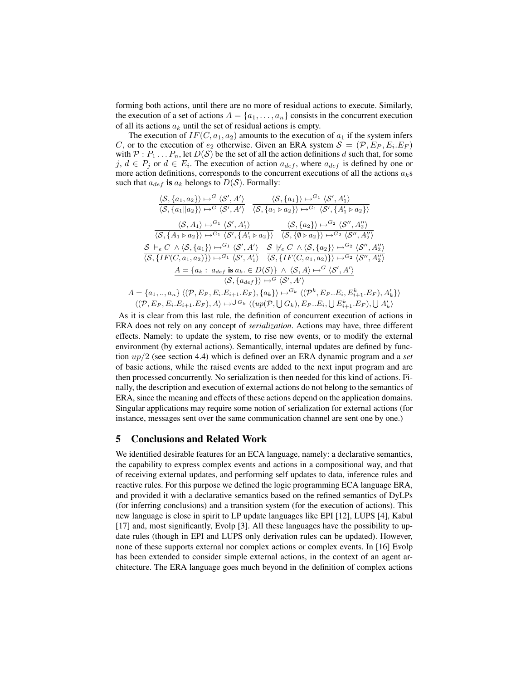forming both actions, until there are no more of residual actions to execute. Similarly, the execution of a set of actions  $A = \{a_1, \ldots, a_n\}$  consists in the concurrent execution of all its actions  $a_k$  until the set of residual actions is empty.

The execution of  $IF(C, a_1, a_2)$  amounts to the execution of  $a_1$  if the system infers C, or to the execution of  $e_2$  otherwise. Given an ERA system  $S = (\mathcal{P}, E_P, E_i, E_F)$ with  $P: P_1 \dots P_n$ , let  $D(S)$  be the set of all the action definitions d such that, for some j,  $d \in P_j$  or  $d \in E_i$ . The execution of action  $a_{def}$ , where  $a_{def}$  is defined by one or more action definitions, corresponds to the concurrent executions of all the actions  $a_k$ s such that  $a_{def}$  is  $a_k$  belongs to  $D(S)$ . Formally:

$$
\frac{\langle \mathcal{S}, \{a_1, a_2\} \rangle \mapsto^G \langle \mathcal{S}', A' \rangle}{\langle \mathcal{S}, \{a_1 \| a_2 \} \rangle \mapsto^G \langle \mathcal{S}', A' \rangle} \frac{\langle \mathcal{S}, \{a_1\} \rangle \mapsto^G \langle \mathcal{S}', A'_1 \rangle}{\langle \mathcal{S}, \{a_1 \triangleright a_2\} \rangle \mapsto^G \langle \mathcal{S}', A'_1 \rangle} \frac{\langle \mathcal{S}, \{a_1 \triangleright a_2\} \rangle \mapsto^G \langle \mathcal{S}', \{A'_1 \triangleright a_2\} \rangle}{\langle \mathcal{S}, \{A_1 \triangleright a_2\} \rangle \mapsto^G \langle \mathcal{S}', A'_1 \rangle} \frac{\langle \mathcal{S}, \{a_2\} \rangle \mapsto^G \langle \mathcal{S}'', A''_2 \rangle}{\langle \mathcal{S}, \{A_1 \triangleright a_2\} \rangle \mapsto^G \langle \mathcal{S}', \{A'_1 \triangleright a_2\} \rangle} \frac{\langle \mathcal{S}, \{a_2\} \rangle \mapsto^G \langle \mathcal{S}'', A''_2 \rangle}{\langle \mathcal{S}, \{IF(C, a_1, a_2)\} \rangle \mapsto^G \langle \mathcal{S}', A' \rangle} \frac{\langle \mathcal{S}, \{a_2\} \rangle \mapsto^G \langle \mathcal{S}'', A''_2 \rangle}{\langle \mathcal{S}, \{IF(C, a_1, a_2)\} \rangle \mapsto^G \langle \mathcal{S}', A''_2 \rangle} \frac{\langle \mathcal{S}, \{IF(C, a_1, a_2)\} \rangle \mapsto^G \langle \mathcal{S}'', A''_2 \rangle}{\langle \mathcal{S}, \{a_{def}\} \rangle \mapsto^G \langle \mathcal{S}', A' \rangle} \frac{\langle \mathcal{S}, \{a_{ref} \iota \mathcal{S}', A''_2 \rangle}{\langle \mathcal{S}, \{a_{def} \} \rangle \mapsto^G \langle \mathcal{S}', A''_2 \rangle} \frac{\langle \mathcal{S}', \{a_{ref} \iota \mathcal{S}', A''_2 \rangle}{\langle \mathcal{S}, \{a_{def} \} \rangle \mapsto^G \langle \mathcal{S}', A''_2 \rangle} \frac{\langle \mathcal{S}, \{a_1 \triangler
$$

As it is clear from this last rule, the definition of concurrent execution of actions in ERA does not rely on any concept of *serialization*. Actions may have, three different effects. Namely: to update the system, to rise new events, or to modify the external environment (by external actions). Semantically, internal updates are defined by function up/2 (see section 4.4) which is defined over an ERA dynamic program and a *set* of basic actions, while the raised events are added to the next input program and are then processed concurrently. No serialization is then needed for this kind of actions. Finally, the description and execution of external actions do not belong to the semantics of ERA, since the meaning and effects of these actions depend on the application domains. Singular applications may require some notion of serialization for external actions (for instance, messages sent over the same communication channel are sent one by one.)

### 5 Conclusions and Related Work

We identified desirable features for an ECA language, namely: a declarative semantics, the capability to express complex events and actions in a compositional way, and that of receiving external updates, and performing self updates to data, inference rules and reactive rules. For this purpose we defined the logic programming ECA language ERA, and provided it with a declarative semantics based on the refined semantics of DyLPs (for inferring conclusions) and a transition system (for the execution of actions). This new language is close in spirit to LP update languages like EPI [12], LUPS [4], Kabul [17] and, most significantly, Evolp [3]. All these languages have the possibility to update rules (though in EPI and LUPS only derivation rules can be updated). However, none of these supports external nor complex actions or complex events. In [16] Evolp has been extended to consider simple external actions, in the context of an agent architecture. The ERA language goes much beyond in the definition of complex actions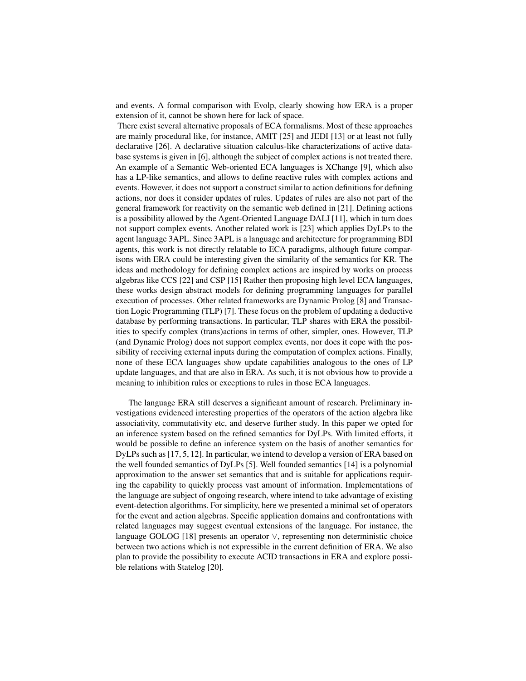and events. A formal comparison with Evolp, clearly showing how ERA is a proper extension of it, cannot be shown here for lack of space.

There exist several alternative proposals of ECA formalisms. Most of these approaches are mainly procedural like, for instance, AMIT [25] and JEDI [13] or at least not fully declarative [26]. A declarative situation calculus-like characterizations of active database systems is given in [6], although the subject of complex actions is not treated there. An example of a Semantic Web-oriented ECA languages is XChange [9], which also has a LP-like semantics, and allows to define reactive rules with complex actions and events. However, it does not support a construct similar to action definitions for defining actions, nor does it consider updates of rules. Updates of rules are also not part of the general framework for reactivity on the semantic web defined in [21]. Defining actions is a possibility allowed by the Agent-Oriented Language DALI [11], which in turn does not support complex events. Another related work is [23] which applies DyLPs to the agent language 3APL. Since 3APL is a language and architecture for programming BDI agents, this work is not directly relatable to ECA paradigms, although future comparisons with ERA could be interesting given the similarity of the semantics for KR. The ideas and methodology for defining complex actions are inspired by works on process algebras like CCS [22] and CSP [15] Rather then proposing high level ECA languages, these works design abstract models for defining programming languages for parallel execution of processes. Other related frameworks are Dynamic Prolog [8] and Transaction Logic Programming (TLP) [7]. These focus on the problem of updating a deductive database by performing transactions. In particular, TLP shares with ERA the possibilities to specify complex (trans)actions in terms of other, simpler, ones. However, TLP (and Dynamic Prolog) does not support complex events, nor does it cope with the possibility of receiving external inputs during the computation of complex actions. Finally, none of these ECA languages show update capabilities analogous to the ones of LP update languages, and that are also in ERA. As such, it is not obvious how to provide a meaning to inhibition rules or exceptions to rules in those ECA languages.

The language ERA still deserves a significant amount of research. Preliminary investigations evidenced interesting properties of the operators of the action algebra like associativity, commutativity etc, and deserve further study. In this paper we opted for an inference system based on the refined semantics for DyLPs. With limited efforts, it would be possible to define an inference system on the basis of another semantics for DyLPs such as [17, 5, 12]. In particular, we intend to develop a version of ERA based on the well founded semantics of DyLPs [5]. Well founded semantics [14] is a polynomial approximation to the answer set semantics that and is suitable for applications requiring the capability to quickly process vast amount of information. Implementations of the language are subject of ongoing research, where intend to take advantage of existing event-detection algorithms. For simplicity, here we presented a minimal set of operators for the event and action algebras. Specific application domains and confrontations with related languages may suggest eventual extensions of the language. For instance, the language GOLOG [18] presents an operator ∨, representing non deterministic choice between two actions which is not expressible in the current definition of ERA. We also plan to provide the possibility to execute ACID transactions in ERA and explore possible relations with Statelog [20].